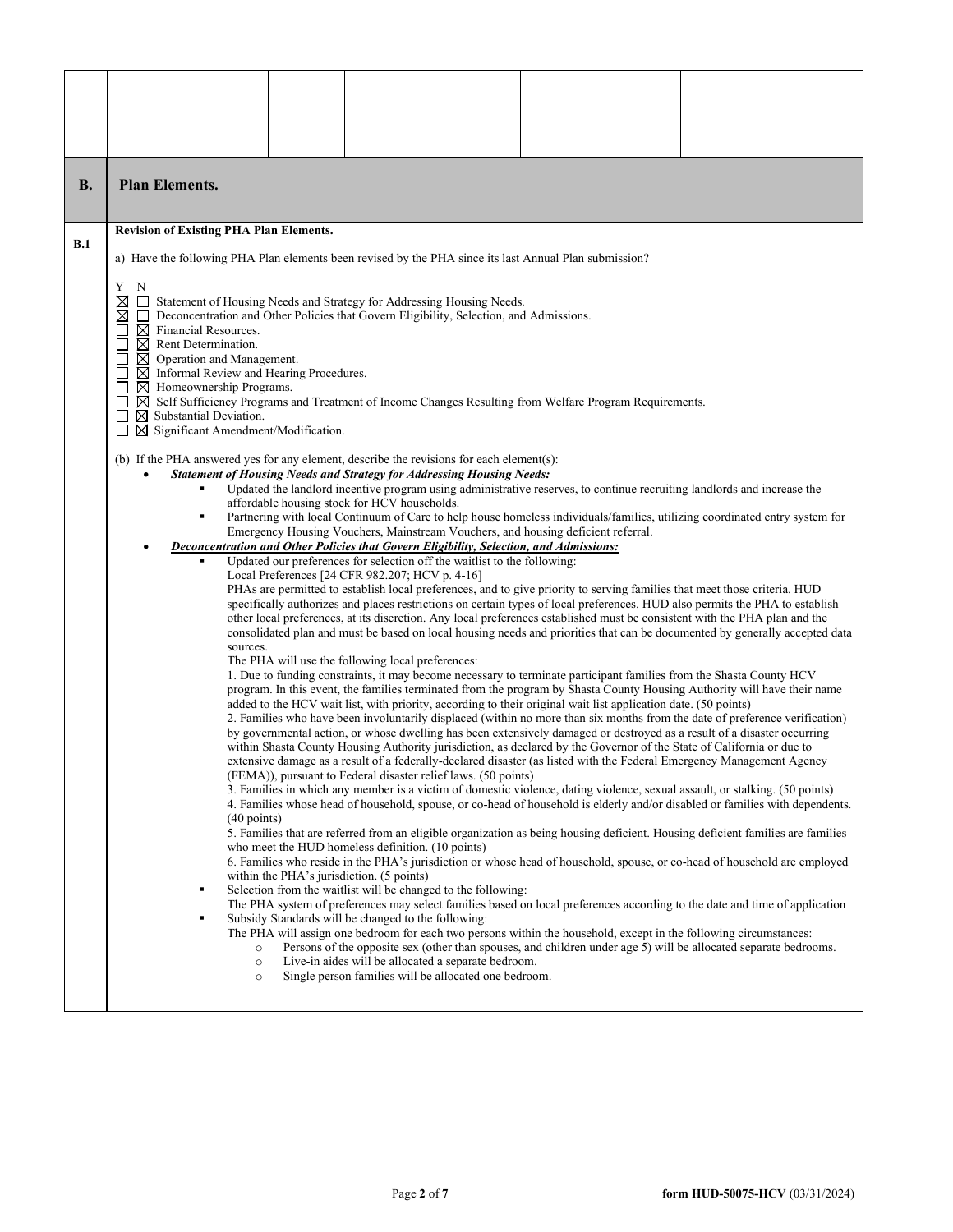| <b>B.</b>  | <b>Plan Elements.</b>                                                                                                                                                                                                                                                                                                                                                              |  |                                                                                                                                                                                                                                                                                                                                                                                                                                                                                                                                                                                                                                                                                                                                                                                                                                                                                                                                                                                                                                                                                                                                                                                                                                                                                                                                                                                                                                                                                                                                                                                                                                                                                                                                                                                                                                                                                                                                                                                                                                                                                                                                                                                                                                                                                                                                                                                                                                                                                                                                                                                                                                                                                                                                                                                                                                                                                                                                                                                                                                                                                                                                                                                                                                                                                                                                                                                                                                                                                                                   |  |  |  |  |  |
|------------|------------------------------------------------------------------------------------------------------------------------------------------------------------------------------------------------------------------------------------------------------------------------------------------------------------------------------------------------------------------------------------|--|-------------------------------------------------------------------------------------------------------------------------------------------------------------------------------------------------------------------------------------------------------------------------------------------------------------------------------------------------------------------------------------------------------------------------------------------------------------------------------------------------------------------------------------------------------------------------------------------------------------------------------------------------------------------------------------------------------------------------------------------------------------------------------------------------------------------------------------------------------------------------------------------------------------------------------------------------------------------------------------------------------------------------------------------------------------------------------------------------------------------------------------------------------------------------------------------------------------------------------------------------------------------------------------------------------------------------------------------------------------------------------------------------------------------------------------------------------------------------------------------------------------------------------------------------------------------------------------------------------------------------------------------------------------------------------------------------------------------------------------------------------------------------------------------------------------------------------------------------------------------------------------------------------------------------------------------------------------------------------------------------------------------------------------------------------------------------------------------------------------------------------------------------------------------------------------------------------------------------------------------------------------------------------------------------------------------------------------------------------------------------------------------------------------------------------------------------------------------------------------------------------------------------------------------------------------------------------------------------------------------------------------------------------------------------------------------------------------------------------------------------------------------------------------------------------------------------------------------------------------------------------------------------------------------------------------------------------------------------------------------------------------------------------------------------------------------------------------------------------------------------------------------------------------------------------------------------------------------------------------------------------------------------------------------------------------------------------------------------------------------------------------------------------------------------------------------------------------------------------------------------------------------|--|--|--|--|--|
| <b>B.1</b> | <b>Revision of Existing PHA Plan Elements.</b>                                                                                                                                                                                                                                                                                                                                     |  |                                                                                                                                                                                                                                                                                                                                                                                                                                                                                                                                                                                                                                                                                                                                                                                                                                                                                                                                                                                                                                                                                                                                                                                                                                                                                                                                                                                                                                                                                                                                                                                                                                                                                                                                                                                                                                                                                                                                                                                                                                                                                                                                                                                                                                                                                                                                                                                                                                                                                                                                                                                                                                                                                                                                                                                                                                                                                                                                                                                                                                                                                                                                                                                                                                                                                                                                                                                                                                                                                                                   |  |  |  |  |  |
|            | a) Have the following PHA Plan elements been revised by the PHA since its last Annual Plan submission?                                                                                                                                                                                                                                                                             |  |                                                                                                                                                                                                                                                                                                                                                                                                                                                                                                                                                                                                                                                                                                                                                                                                                                                                                                                                                                                                                                                                                                                                                                                                                                                                                                                                                                                                                                                                                                                                                                                                                                                                                                                                                                                                                                                                                                                                                                                                                                                                                                                                                                                                                                                                                                                                                                                                                                                                                                                                                                                                                                                                                                                                                                                                                                                                                                                                                                                                                                                                                                                                                                                                                                                                                                                                                                                                                                                                                                                   |  |  |  |  |  |
|            | Y<br>N<br>⊠<br>$\boxtimes$<br>$\Box$<br>$\boxtimes$ Financial Resources.<br>$\boxtimes$ Rent Determination.<br>$\boxtimes$ Operation and Management.<br>$\boxtimes$ Informal Review and Hearing Procedures.<br>$\boxtimes$ Homeownership Programs.<br>$\boxtimes$ Substantial Deviation.<br>$\boxtimes$ Significant Amendment/Modification.<br>$\Box$<br>sources.<br>$(40$ points) |  | Statement of Housing Needs and Strategy for Addressing Housing Needs.<br>Deconcentration and Other Policies that Govern Eligibility, Selection, and Admissions.<br>$\boxtimes$ Self Sufficiency Programs and Treatment of Income Changes Resulting from Welfare Program Requirements.<br>(b) If the PHA answered yes for any element, describe the revisions for each element(s):<br><b>Statement of Housing Needs and Strategy for Addressing Housing Needs:</b><br>Updated the landlord incentive program using administrative reserves, to continue recruiting landlords and increase the<br>affordable housing stock for HCV households.<br>Partnering with local Continuum of Care to help house homeless individuals/families, utilizing coordinated entry system for<br>Emergency Housing Vouchers, Mainstream Vouchers, and housing deficient referral.<br>Deconcentration and Other Policies that Govern Eligibility, Selection, and Admissions:<br>Updated our preferences for selection off the waitlist to the following:<br>Local Preferences [24 CFR 982.207; HCV p. 4-16]<br>PHAs are permitted to establish local preferences, and to give priority to serving families that meet those criteria. HUD<br>specifically authorizes and places restrictions on certain types of local preferences. HUD also permits the PHA to establish<br>other local preferences, at its discretion. Any local preferences established must be consistent with the PHA plan and the<br>consolidated plan and must be based on local housing needs and priorities that can be documented by generally accepted data<br>The PHA will use the following local preferences:<br>1. Due to funding constraints, it may become necessary to terminate participant families from the Shasta County HCV<br>program. In this event, the families terminated from the program by Shasta County Housing Authority will have their name<br>added to the HCV wait list, with priority, according to their original wait list application date. (50 points)<br>2. Families who have been involuntarily displaced (within no more than six months from the date of preference verification)<br>by governmental action, or whose dwelling has been extensively damaged or destroyed as a result of a disaster occurring<br>within Shasta County Housing Authority jurisdiction, as declared by the Governor of the State of California or due to<br>extensive damage as a result of a federally-declared disaster (as listed with the Federal Emergency Management Agency<br>(FEMA)), pursuant to Federal disaster relief laws. (50 points)<br>3. Families in which any member is a victim of domestic violence, dating violence, sexual assault, or stalking. (50 points)<br>4. Families whose head of household, spouse, or co-head of household is elderly and/or disabled or families with dependents.<br>5. Families that are referred from an eligible organization as being housing deficient. Housing deficient families are families<br>who meet the HUD homeless definition. (10 points)<br>6. Families who reside in the PHA's jurisdiction or whose head of household, spouse, or co-head of household are employed<br>within the PHA's jurisdiction. (5 points)<br>Selection from the waitlist will be changed to the following:<br>The PHA system of preferences may select families based on local preferences according to the date and time of application<br>Subsidy Standards will be changed to the following: |  |  |  |  |  |
|            | $\circ$<br>$\circ$<br>$\circ$                                                                                                                                                                                                                                                                                                                                                      |  | The PHA will assign one bedroom for each two persons within the household, except in the following circumstances:<br>Persons of the opposite sex (other than spouses, and children under age 5) will be allocated separate bedrooms.<br>Live-in aides will be allocated a separate bedroom.<br>Single person families will be allocated one bedroom.                                                                                                                                                                                                                                                                                                                                                                                                                                                                                                                                                                                                                                                                                                                                                                                                                                                                                                                                                                                                                                                                                                                                                                                                                                                                                                                                                                                                                                                                                                                                                                                                                                                                                                                                                                                                                                                                                                                                                                                                                                                                                                                                                                                                                                                                                                                                                                                                                                                                                                                                                                                                                                                                                                                                                                                                                                                                                                                                                                                                                                                                                                                                                              |  |  |  |  |  |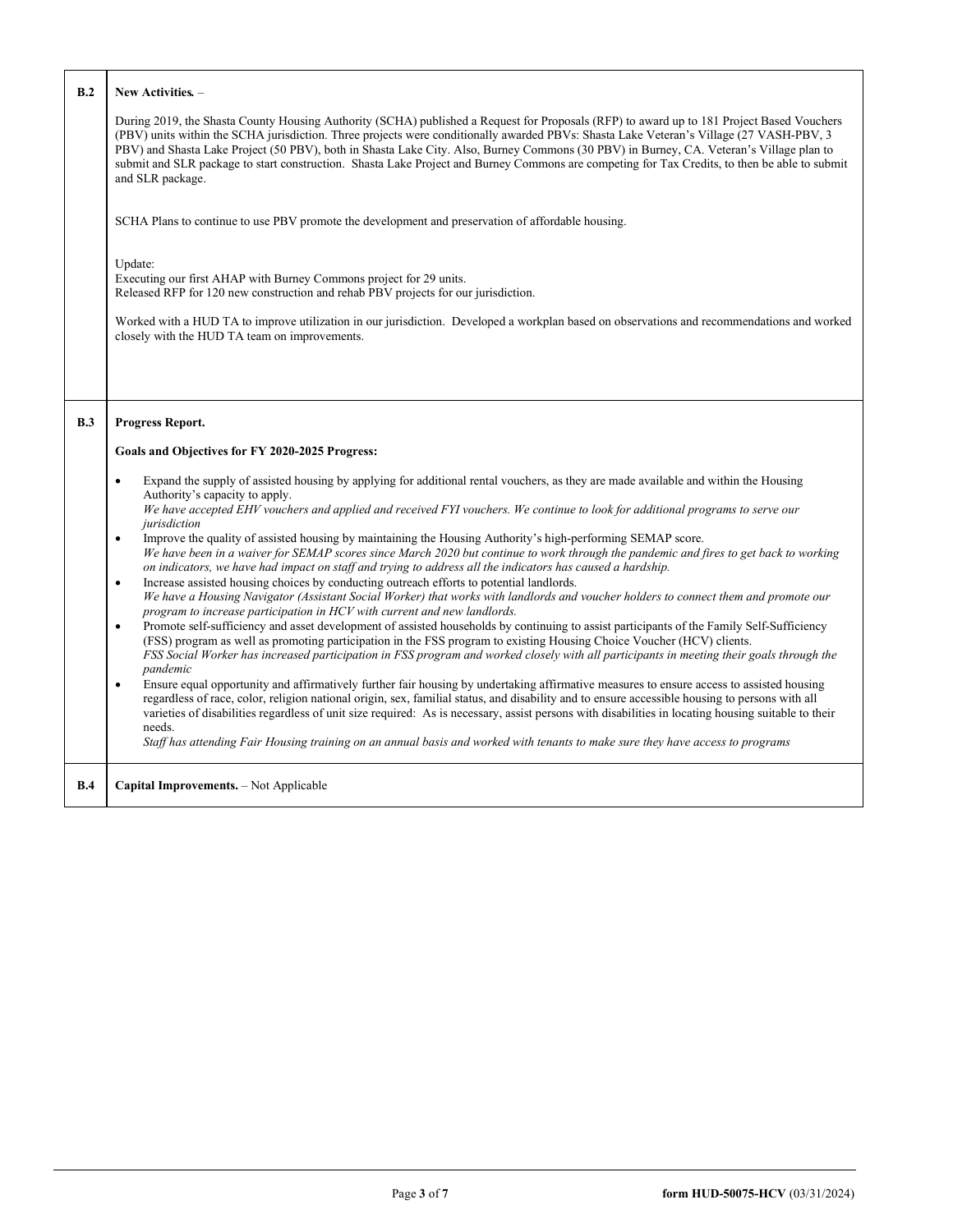| B.2 | New Activities. -                                                                                                                                                                                                                                                                                                                                                                                                                                                                                                                                                                                     |
|-----|-------------------------------------------------------------------------------------------------------------------------------------------------------------------------------------------------------------------------------------------------------------------------------------------------------------------------------------------------------------------------------------------------------------------------------------------------------------------------------------------------------------------------------------------------------------------------------------------------------|
|     | During 2019, the Shasta County Housing Authority (SCHA) published a Request for Proposals (RFP) to award up to 181 Project Based Vouchers<br>(PBV) units within the SCHA jurisdiction. Three projects were conditionally awarded PBVs: Shasta Lake Veteran's Village (27 VASH-PBV, 3)<br>PBV) and Shasta Lake Project (50 PBV), both in Shasta Lake City. Also, Burney Commons (30 PBV) in Burney, CA. Veteran's Village plan to<br>submit and SLR package to start construction. Shasta Lake Project and Burney Commons are competing for Tax Credits, to then be able to submit<br>and SLR package. |
|     | SCHA Plans to continue to use PBV promote the development and preservation of affordable housing.                                                                                                                                                                                                                                                                                                                                                                                                                                                                                                     |
|     | Update:<br>Executing our first AHAP with Burney Commons project for 29 units.<br>Released RFP for 120 new construction and rehab PBV projects for our jurisdiction.<br>Worked with a HUD TA to improve utilization in our jurisdiction. Developed a workplan based on observations and recommendations and worked<br>closely with the HUD TA team on improvements.                                                                                                                                                                                                                                    |
|     |                                                                                                                                                                                                                                                                                                                                                                                                                                                                                                                                                                                                       |
| B.3 | <b>Progress Report.</b><br>Goals and Objectives for FY 2020-2025 Progress:<br>Expand the supply of assisted housing by applying for additional rental vouchers, as they are made available and within the Housing<br>$\bullet$<br>Authority's capacity to apply.                                                                                                                                                                                                                                                                                                                                      |
|     | We have accepted EHV vouchers and applied and received FYI vouchers. We continue to look for additional programs to serve our<br>jurisdiction<br>Improve the quality of assisted housing by maintaining the Housing Authority's high-performing SEMAP score.<br>$\bullet$                                                                                                                                                                                                                                                                                                                             |
|     | We have been in a waiver for SEMAP scores since March 2020 but continue to work through the pandemic and fires to get back to working<br>on indicators, we have had impact on staff and trying to address all the indicators has caused a hardship.                                                                                                                                                                                                                                                                                                                                                   |
|     | Increase assisted housing choices by conducting outreach efforts to potential landlords.<br>$\bullet$<br>We have a Housing Navigator (Assistant Social Worker) that works with landlords and voucher holders to connect them and promote our<br>program to increase participation in HCV with current and new landlords.                                                                                                                                                                                                                                                                              |
|     | Promote self-sufficiency and asset development of assisted households by continuing to assist participants of the Family Self-Sufficiency<br>$\bullet$<br>(FSS) program as well as promoting participation in the FSS program to existing Housing Choice Voucher (HCV) clients.<br>FSS Social Worker has increased participation in FSS program and worked closely with all participants in meeting their goals through the<br>pandemic                                                                                                                                                               |
|     | Ensure equal opportunity and affirmatively further fair housing by undertaking affirmative measures to ensure access to assisted housing<br>$\bullet$<br>regardless of race, color, religion national origin, sex, familial status, and disability and to ensure accessible housing to persons with all<br>varieties of disabilities regardless of unit size required: As is necessary, assist persons with disabilities in locating housing suitable to their<br>needs.                                                                                                                              |
|     | Staff has attending Fair Housing training on an annual basis and worked with tenants to make sure they have access to programs                                                                                                                                                                                                                                                                                                                                                                                                                                                                        |
| B.4 | Capital Improvements. - Not Applicable                                                                                                                                                                                                                                                                                                                                                                                                                                                                                                                                                                |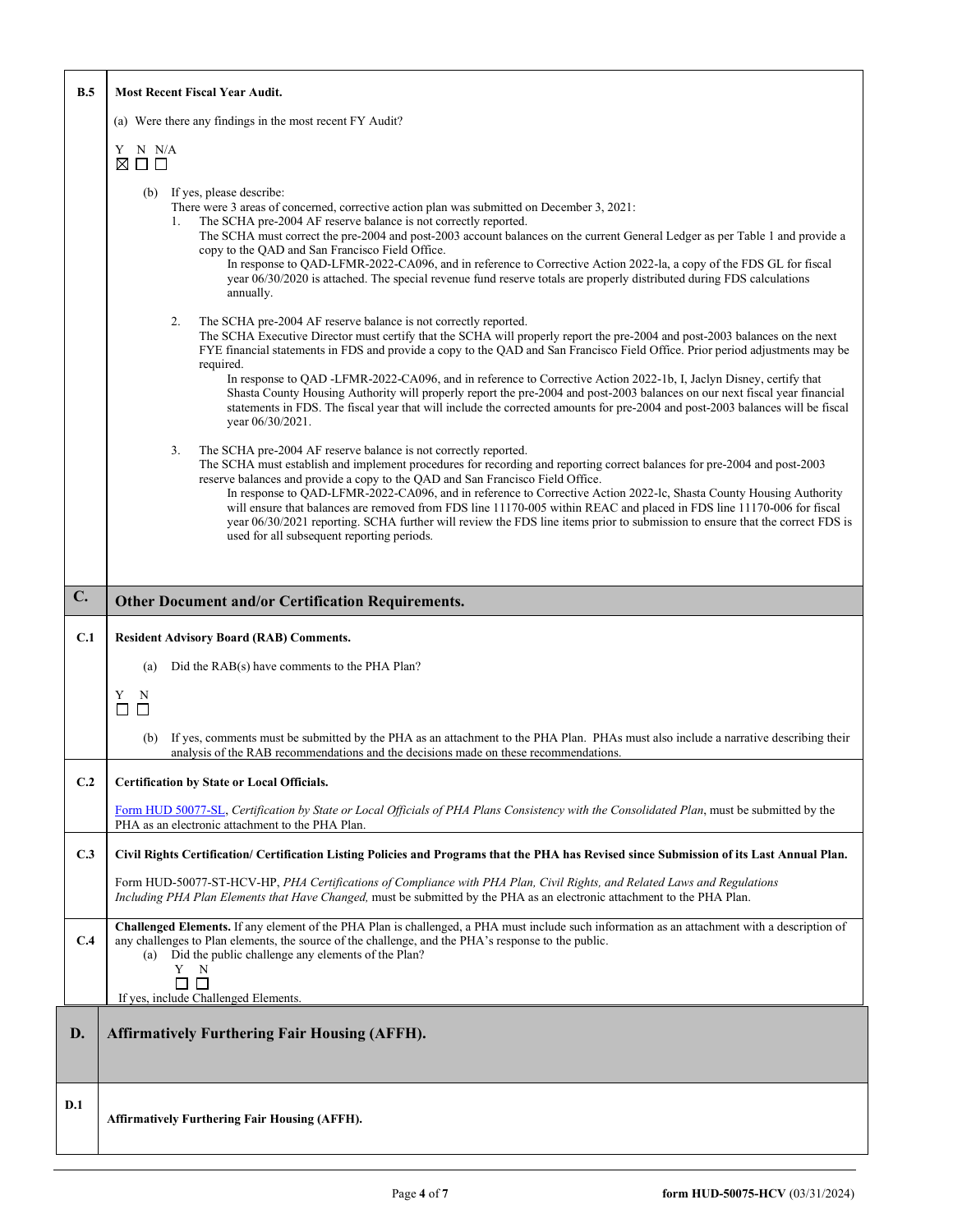| B.5 | <b>Most Recent Fiscal Year Audit.</b>                                                                                                                                                                                                                                                                                                                                                                                                                                                                                                                                                                                                                                                                                                                       |  |  |  |  |
|-----|-------------------------------------------------------------------------------------------------------------------------------------------------------------------------------------------------------------------------------------------------------------------------------------------------------------------------------------------------------------------------------------------------------------------------------------------------------------------------------------------------------------------------------------------------------------------------------------------------------------------------------------------------------------------------------------------------------------------------------------------------------------|--|--|--|--|
|     | (a) Were there any findings in the most recent FY Audit?                                                                                                                                                                                                                                                                                                                                                                                                                                                                                                                                                                                                                                                                                                    |  |  |  |  |
|     | Y<br>N N/A<br>$\boxtimes$ $\Box$ $\Box$                                                                                                                                                                                                                                                                                                                                                                                                                                                                                                                                                                                                                                                                                                                     |  |  |  |  |
|     | (b) If yes, please describe:<br>There were 3 areas of concerned, corrective action plan was submitted on December 3, 2021:<br>The SCHA pre-2004 AF reserve balance is not correctly reported.<br>1.<br>The SCHA must correct the pre-2004 and post-2003 account balances on the current General Ledger as per Table 1 and provide a<br>copy to the OAD and San Francisco Field Office.<br>In response to QAD-LFMR-2022-CA096, and in reference to Corrective Action 2022-la, a copy of the FDS GL for fiscal<br>year 06/30/2020 is attached. The special revenue fund reserve totals are properly distributed during FDS calculations<br>annually.                                                                                                          |  |  |  |  |
|     | The SCHA pre-2004 AF reserve balance is not correctly reported.<br>2.<br>The SCHA Executive Director must certify that the SCHA will properly report the pre-2004 and post-2003 balances on the next<br>FYE financial statements in FDS and provide a copy to the QAD and San Francisco Field Office. Prior period adjustments may be<br>required.<br>In response to QAD -LFMR-2022-CA096, and in reference to Corrective Action 2022-1b, I, Jaclyn Disney, certify that<br>Shasta County Housing Authority will properly report the pre-2004 and post-2003 balances on our next fiscal year financial<br>statements in FDS. The fiscal year that will include the corrected amounts for pre-2004 and post-2003 balances will be fiscal<br>year 06/30/2021. |  |  |  |  |
|     | 3.<br>The SCHA pre-2004 AF reserve balance is not correctly reported.<br>The SCHA must establish and implement procedures for recording and reporting correct balances for pre-2004 and post-2003<br>reserve balances and provide a copy to the QAD and San Francisco Field Office.<br>In response to QAD-LFMR-2022-CA096, and in reference to Corrective Action 2022-lc, Shasta County Housing Authority<br>will ensure that balances are removed from FDS line 11170-005 within REAC and placed in FDS line 11170-006 for fiscal<br>year 06/30/2021 reporting. SCHA further will review the FDS line items prior to submission to ensure that the correct FDS is<br>used for all subsequent reporting periods.                                            |  |  |  |  |
|     |                                                                                                                                                                                                                                                                                                                                                                                                                                                                                                                                                                                                                                                                                                                                                             |  |  |  |  |
| C.  | <b>Other Document and/or Certification Requirements.</b>                                                                                                                                                                                                                                                                                                                                                                                                                                                                                                                                                                                                                                                                                                    |  |  |  |  |
| C.1 | <b>Resident Advisory Board (RAB) Comments.</b><br>Did the RAB(s) have comments to the PHA Plan?<br>(a)<br>Y<br>N<br>$\Box$<br>П<br>If yes, comments must be submitted by the PHA as an attachment to the PHA Plan. PHAs must also include a narrative describing their<br>(b)<br>analysis of the RAB recommendations and the decisions made on these recommendations.                                                                                                                                                                                                                                                                                                                                                                                       |  |  |  |  |
| C.2 | <b>Certification by State or Local Officials.</b>                                                                                                                                                                                                                                                                                                                                                                                                                                                                                                                                                                                                                                                                                                           |  |  |  |  |
|     | Form HUD 50077-SL, Certification by State or Local Officials of PHA Plans Consistency with the Consolidated Plan, must be submitted by the<br>PHA as an electronic attachment to the PHA Plan.                                                                                                                                                                                                                                                                                                                                                                                                                                                                                                                                                              |  |  |  |  |
| C.3 | Civil Rights Certification/ Certification Listing Policies and Programs that the PHA has Revised since Submission of its Last Annual Plan.                                                                                                                                                                                                                                                                                                                                                                                                                                                                                                                                                                                                                  |  |  |  |  |
|     | Form HUD-50077-ST-HCV-HP, PHA Certifications of Compliance with PHA Plan, Civil Rights, and Related Laws and Regulations<br>Including PHA Plan Elements that Have Changed, must be submitted by the PHA as an electronic attachment to the PHA Plan.                                                                                                                                                                                                                                                                                                                                                                                                                                                                                                        |  |  |  |  |
| C.4 | Challenged Elements. If any element of the PHA Plan is challenged, a PHA must include such information as an attachment with a description of<br>any challenges to Plan elements, the source of the challenge, and the PHA's response to the public.<br>(a) Did the public challenge any elements of the Plan?<br>Y<br>N<br>Г<br>$\Box$<br>If yes, include Challenged Elements.                                                                                                                                                                                                                                                                                                                                                                             |  |  |  |  |
| D.  | <b>Affirmatively Furthering Fair Housing (AFFH).</b>                                                                                                                                                                                                                                                                                                                                                                                                                                                                                                                                                                                                                                                                                                        |  |  |  |  |
| D.1 | <b>Affirmatively Furthering Fair Housing (AFFH).</b>                                                                                                                                                                                                                                                                                                                                                                                                                                                                                                                                                                                                                                                                                                        |  |  |  |  |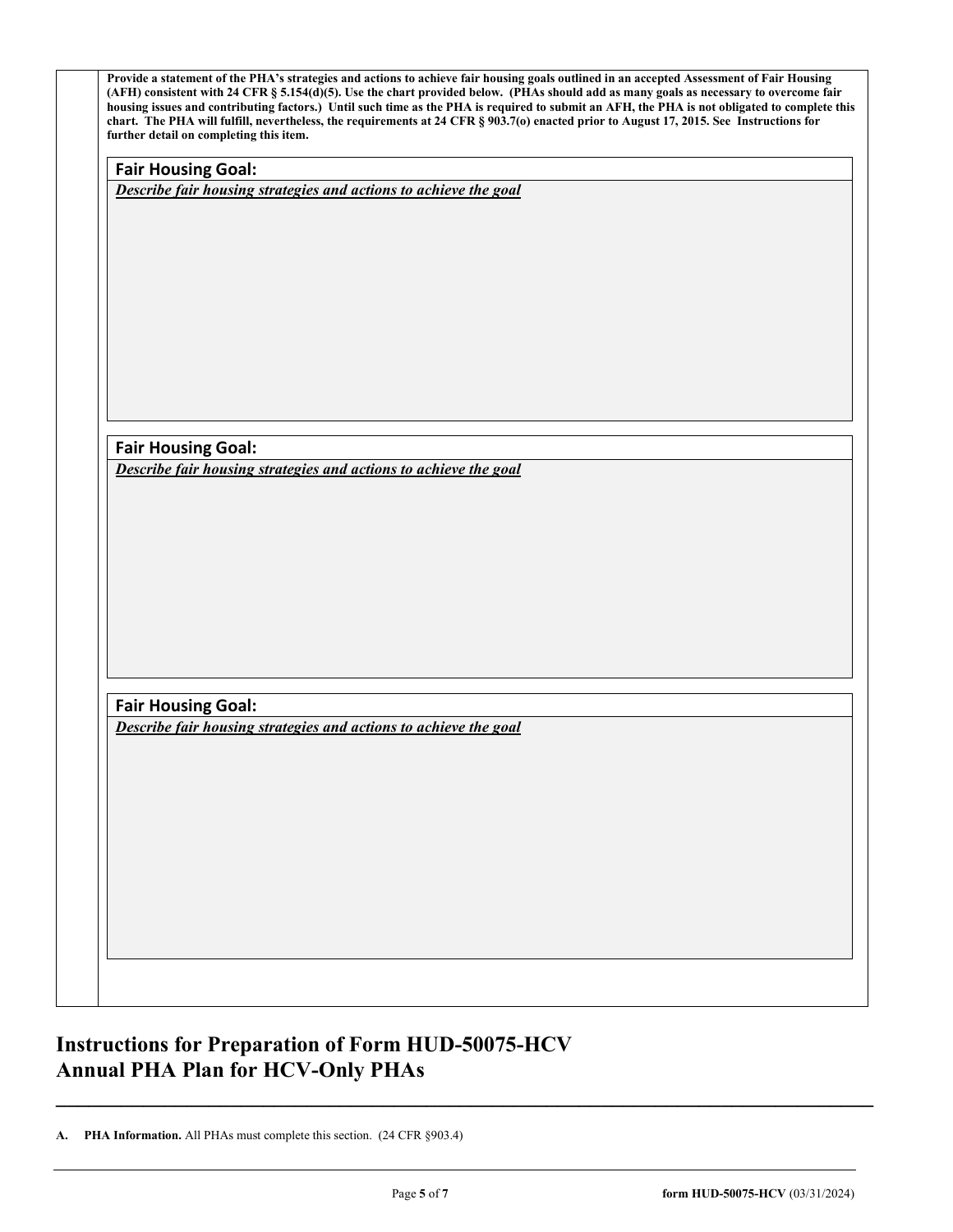| <b>Fair Housing Goal:</b> |                                                                  |
|---------------------------|------------------------------------------------------------------|
|                           | Describe fair housing strategies and actions to achieve the goal |
|                           |                                                                  |
|                           |                                                                  |
|                           |                                                                  |
|                           |                                                                  |
|                           |                                                                  |
|                           |                                                                  |
|                           |                                                                  |
|                           |                                                                  |
|                           |                                                                  |
| <b>Fair Housing Goal:</b> |                                                                  |
|                           | Describe fair housing strategies and actions to achieve the goal |
|                           |                                                                  |
|                           |                                                                  |
|                           |                                                                  |
|                           |                                                                  |
|                           |                                                                  |
|                           |                                                                  |
|                           |                                                                  |
|                           |                                                                  |
| <b>Fair Housing Goal:</b> |                                                                  |
|                           | Describe fair housing strategies and actions to achieve the goal |
|                           |                                                                  |
|                           |                                                                  |
|                           |                                                                  |
|                           |                                                                  |
|                           |                                                                  |
|                           |                                                                  |
|                           |                                                                  |

## **Instructions for Preparation of Form HUD-50075-HCV Annual PHA Plan for HCV-Only PHAs**

**A. PHA Information.** All PHAs must complete this section. (24 CFR §903.4)

**\_\_\_\_\_\_\_\_\_\_\_\_\_\_\_\_\_\_\_\_\_\_\_\_\_\_\_\_\_\_\_\_\_\_\_\_\_\_\_\_\_\_\_\_\_\_\_\_\_\_\_\_\_\_\_\_\_\_\_\_\_\_\_\_\_\_\_\_\_\_\_\_\_\_\_**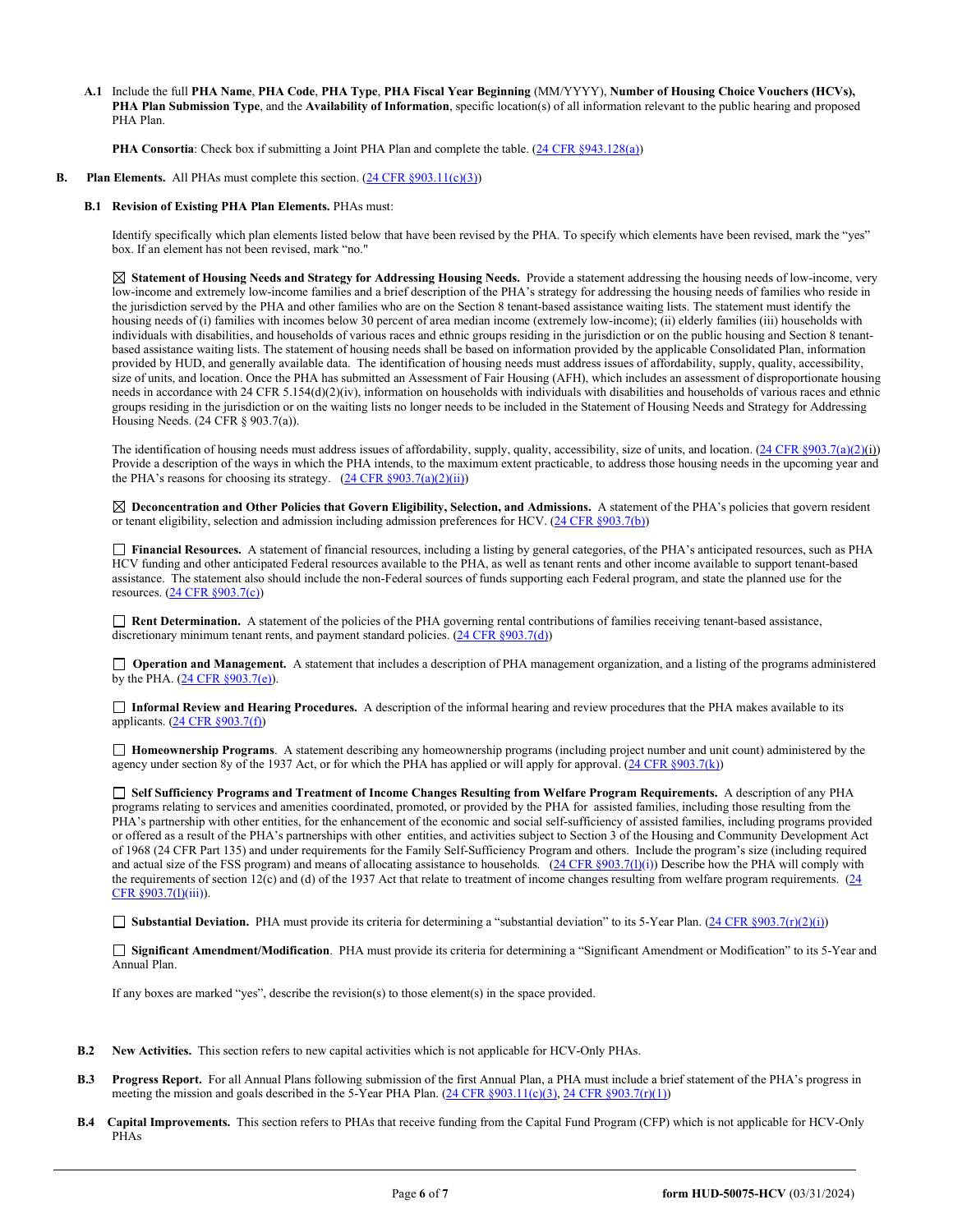**A.1** Include the full **PHA Name**, **PHA Code**, **PHA Type**, **PHA Fiscal Year Beginning** (MM/YYYY), **Number of Housing Choice Vouchers (HCVs), PHA Plan Submission Type**, and the **Availability of Information**, specific location(s) of all information relevant to the public hearing and proposed PHA Plan.

**PHA Consortia**: Check box if submitting a Joint PHA Plan and complete the table. [\(24 CFR §943.128\(a\)\)](http://ecfr.gpoaccess.gov/cgi/t/text/text-idx?c=ecfr&sid=cc31cf1c3a2b84ba4ead75d35d258f67&rgn=div5&view=text&node=24:4.0.3.1.10&idno=24#24:4.0.3.1.10.2.5.7)

**B.** Plan **Elements.** All PHAs must complete this section. [\(24 CFR §903.11\(c\)\(3\)\)](http://ecfr.gpoaccess.gov/cgi/t/text/text-idx?c=ecfr&sid=c84b8750d7c9fcd46c0c7546aeb860cf&rgn=div5&view=text&node=24:4.0.3.1.3&idno=24#24:4.0.3.1.3.2.5.8)

## **B.1 Revision of Existing PHA Plan Elements.** PHAs must:

Identify specifically which plan elements listed below that have been revised by the PHA. To specify which elements have been revised, mark the "yes" box. If an element has not been revised, mark "no."

 **Statement of Housing Needs and Strategy for Addressing Housing Needs.** Provide a statement addressing the housing needs of low-income, very low-income and extremely low-income families and a brief description of the PHA's strategy for addressing the housing needs of families who reside in the jurisdiction served by the PHA and other families who are on the Section 8 tenant-based assistance waiting lists. The statement must identify the housing needs of (i) families with incomes below 30 percent of area median income (extremely low-income); (ii) elderly families (iii) households with individuals with disabilities, and households of various races and ethnic groups residing in the jurisdiction or on the public housing and Section 8 tenantbased assistance waiting lists. The statement of housing needs shall be based on information provided by the applicable Consolidated Plan, information provided by HUD, and generally available data. The identification of housing needs must address issues of affordability, supply, quality, accessibility, size of units, and location. Once the PHA has submitted an Assessment of Fair Housing (AFH), which includes an assessment of disproportionate housing needs in accordance with 24 CFR 5.154(d)(2)(iv), information on households with individuals with disabilities and households of various races and ethnic groups residing in the jurisdiction or on the waiting lists no longer needs to be included in the Statement of Housing Needs and Strategy for Addressing Housing Needs. (24 CFR § 903.7(a)).

The identification of housing needs must address issues of affordability, supply, quality, accessibility, size of units, and location.  $(24 \text{ CFR } \text{S}903.7(a)(2)(i))$ Provide a description of the ways in which the PHA intends, to the maximum extent practicable, to address those housing needs in the upcoming year and the PHA's reasons for choosing its strategy.  $(24 \text{ CFR } \S 903.7(a)(2)(ii))$ 

 **Deconcentration and Other Policies that Govern Eligibility, Selection, and Admissions.** A statement of the PHA's policies that govern resident or tenant eligibility, selection and admission including admission preferences for HCV. (24 CFR §903.7(b))

 **Financial Resources.** A statement of financial resources, including a listing by general categories, of the PHA's anticipated resources, such as PHA HCV funding and other anticipated Federal resources available to the PHA, as well as tenant rents and other income available to support tenant-based assistance. The statement also should include the non-Federal sources of funds supporting each Federal program, and state the planned use for the resources. [\(24 CFR §903.7\(c\)\)](http://ecfr.gpoaccess.gov/cgi/t/text/text-idx?c=ecfr&sid=b44bf19bef93dd31287608d2c687e271&rgn=div5&view=text&node=24:4.0.3.1.3&idno=24) ion or on the waiting lists no longer needs to be included in the Statement of Housing<br>
2.7(a)).<br>
S.7(a)).<br>
S.7(a))<br>
S.7(a)) and the PHA intends, to the maximum extent practicable, to address those hosts<br>
in sin strategy.

■ **Rent Determination.** A statement of the policies of the PHA governing rental contributions of families receiving tenant-based assistance, discretionary minimum tenant rents, and payment standard policies. (24 CFR §903.7(d))

□ **Operation and Management.** A statement that includes a description of PHA management organization, and a listing of the programs administered by the PHA. [\(24 CFR §903.7\(e\)\)](http://ecfr.gpoaccess.gov/cgi/t/text/text-idx?c=ecfr&sid=b44bf19bef93dd31287608d2c687e271&rgn=div5&view=text&node=24:4.0.3.1.3&idno=24#24:4.0.3.1.3.2.5.5).

 **Informal Review and Hearing Procedures.** A description of the informal hearing and review procedures that the PHA makes available to its applicants. [\(24 CFR §903.7\(f\)\)](http://ecfr.gpoaccess.gov/cgi/t/text/text-idx?c=ecfr&sid=b44bf19bef93dd31287608d2c687e271&rgn=div5&view=text&node=24:4.0.3.1.3&idno=24#24:4.0.3.1.3.2.5.5)

 **Homeownership Programs**. A statement describing any homeownership programs (including project number and unit count) administered by the agency under section 8y of the 1937 Act, or for which the PHA has applied or will apply for approval. [\(24 CFR §903.7\(k\)\)](http://ecfr.gpoaccess.gov/cgi/t/text/text-idx?c=ecfr&sid=b44bf19bef93dd31287608d2c687e271&rgn=div5&view=text&node=24:4.0.3.1.3&idno=24#24:4.0.3.1.3.2.5.5)

 **Self Sufficiency Programs and Treatment of Income Changes Resulting from Welfare Program Requirements.** A description of any PHA programs relating to services and amenities coordinated, promoted, or provided by the PHA for assisted families, including those resulting from the PHA's partnership with other entities, for the enhancement of the economic and social self-sufficiency of assisted families, including programs provided or offered as a result of the PHA's partnerships with other entities, and activities subject to Section 3 of the Housing and Community Development Act of 1968 (24 CFR Part 135) and under requirements for the Family Self-Sufficiency Program and others. Include the program's size (including required and actual size of the FSS program) and means of allocating assistance to households.  $(24 \text{ CFR } $903.7(l)(i))$  Describe how the PHA will comply with the requirements of section 12(c) and (d) of the 1937 Act that relate to treatment of income changes resulting from welfare program requirements. (24) [CFR §903.7\(l\)\(](http://ecfr.gpoaccess.gov/cgi/t/text/text-idx?c=ecfr&sid=13734845220744370804c20da2294a03&rgn=div5&view=text&node=24:4.0.3.1.3&idno=24#24:4.0.3.1.3.2.5.5)iii)).

■ **Substantial Deviation.** PHA must provide its criteria for determining a "substantial deviation" to its 5-Year Plan. [\(24 CFR §903.7\(r\)\(2\)\(i\)\)](http://ecfr.gpoaccess.gov/cgi/t/text/text-idx?c=ecfr&sid=13734845220744370804c20da2294a03&rgn=div5&view=text&node=24:4.0.3.1.3&idno=24#24:4.0.3.1.3.2.5.5)

 **Significant Amendment/Modification**. PHA must provide its criteria for determining a "Significant Amendment or Modification" to its 5-Year and Annual Plan.

If any boxes are marked "yes", describe the revision(s) to those element(s) in the space provided.

- **B.2 New Activities.** This section refers to new capital activities which is not applicable for HCV-Only PHAs.
- **B.3 Progress Report.** For all Annual Plans following submission of the first Annual Plan, a PHA must include a brief statement of the PHA's progress in meeting the mission and goals described in the 5-Year PHA Plan.  $(24 \text{ CFR } \text{\textless} 903.11(c)(3), 24 \text{ CFR } \text{\textless} 903.7(r)(1))$
- **B.4 Capital Improvements.** This section refers to PHAs that receive funding from the Capital Fund Program (CFP) which is not applicable for HCV-Only PHAs